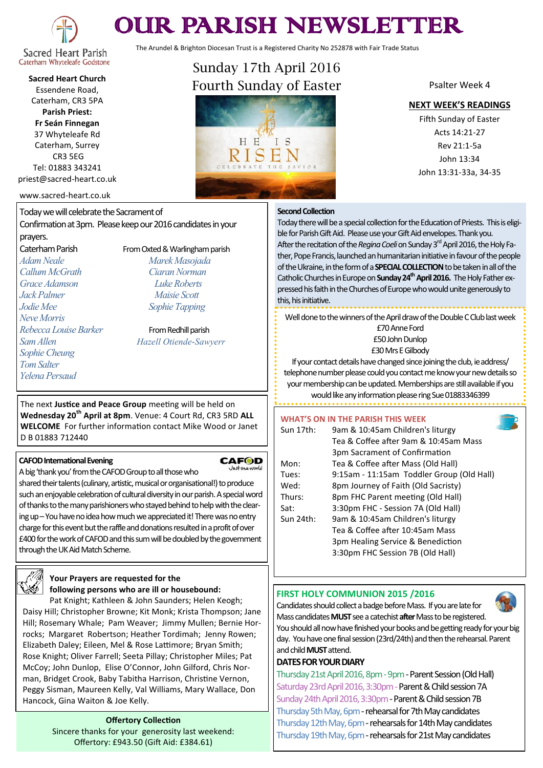

# OUR PARISH NEWSLETTER

The Arundel & Brighton Diocesan Trust is a Registered Charity No 252878 with Fair Trade Status

# Caterham Whyteleafe Godstone **Sacred Heart Church**

Essendene Road, Caterham, CR3 5PA **Parish Priest:**

**Fr Seán Finnegan** 37 Whyteleafe Rd Caterham, Surrey CR3 5EG Tel: 01883 343241 priest@sacred-heart.co.uk

#### www.sacred-heart.co.uk

Today we will celebrate the Sacrament of Confirmation at 3pm. Please keep our 2016 candidates in your prayers.

*Adam Neale Marek Masojada Callum McGrath Ciaran Norman Grace Adamson Luke Roberts Jack Palmer Maisie Scott Jodie Mee Sophie Tapping Neve Morris Rebecca Louise Barker* From Redhill parish *Sophie Cheung Tom Salter Yelena Persaud*

Caterham Parish From Oxted & Warlingham parish

*Sam Allen Hazell Otiende-Sawyerr*

The next **Justice and Peace Group** meeting will be held on **Wednesday 20th April at 8pm**. Venue: 4 Court Rd, CR3 5RD **ALL WELCOME** For further information contact Mike Wood or Janet D B 01883 712440

#### **CAFOD International Evening**

## **CAFOD**

A big 'thank you' from the CAFOD Group to all those who

shared their talents (culinary, artistic, musical or organisational!) to produce such an enjoyable celebration of cultural diversity in our parish. A special word of thanks to the many parishioners who stayed behind to help with the clearing up –You have no idea how much we appreciated it! There was no entry charge for this event but the raffle and donations resulted in a profit of over £400 for the work of CAFOD and this sum will be doubled by the government through the UK Aid Match Scheme.



# **Your Prayers are requested for the following persons who are ill or housebound:**

Pat Knight; Kathleen & John Saunders; Helen Keogh; Daisy Hill; Christopher Browne; Kit Monk; Krista Thompson; Jane Hill; Rosemary Whale; Pam Weaver; Jimmy Mullen; Bernie Horrocks; Margaret Robertson; Heather Tordimah; Jenny Rowen; Elizabeth Daley; Eileen, Mel & Rose Lattimore; Bryan Smith; Rose Knight; Oliver Farrell; Seeta Pillay; Christopher Miles; Pat McCoy; John Dunlop, Elise O'Connor, John Gilford, Chris Norman, Bridget Crook, Baby Tabitha Harrison, Christine Vernon, Peggy Sisman, Maureen Kelly, Val Williams, Mary Wallace, Don Hancock, Gina Waiton & Joe Kelly.

> **Offertory Collection** Sincere thanks for your generosity last weekend: Offertory: £943.50 (Gift Aid: £384.61)

# Sunday 17th April 2016 Fourth Sunday of Easter



### Psalter Week 4

#### **NEXT WEEK'S READINGS**

Fifth Sunday of Easter Acts 14:21-27 Rev 21:1-5a John 13:34 John 13:31-33a, 34-35

#### **Second Collection**

Today there will be a special collection for the Education of Priests. This is eligible for Parish Gift Aid. Please use your Gift Aid envelopes. Thank you. After the recitation of the *Regina Coeli* on Sunday 3<sup>rd</sup> April 2016, the Holy Father, Pope Francis, launched an humanitarian initiative in favour of the people of the Ukraine, in the form of a **SPECIAL COLLECTION**to be taken in all of the Catholic Churches in Europe on **Sunday 24thApril 2016.** The Holy Father expressed his faith in the Churches of Europe who would unite generously to this, his initiative.

Well done to the winners of the April draw of the Double C Club last week £70 Anne Ford £50 John Dunlop £30 Mrs E Gilbody

If your contact details have changed since joining the club, ie address/ telephone number please could you contact me know your new details so your membership can be updated. Memberships are still available if you would like any information please ring Sue 01883346399

#### **WHAT'S ON IN THE PARISH THIS WEEK**

| Sun 17th: | 9am & 10:45am Children's liturgy<br>Tea & Coffee after 9am & 10:45am Mass |
|-----------|---------------------------------------------------------------------------|
|           | 3pm Sacrament of Confirmation                                             |
| Mon:      | Tea & Coffee after Mass (Old Hall)                                        |
| Tues:     | 9:15am - 11:15am Toddler Group (Old Hall)                                 |
| Wed:      | 8pm Journey of Faith (Old Sacristy)                                       |
| Thurs:    | 8pm FHC Parent meeting (Old Hall)                                         |
| Sat:      | 3:30pm FHC - Session 7A (Old Hall)                                        |
| Sun 24th: | 9am & 10:45am Children's liturgy                                          |
|           | Tea & Coffee after 10:45am Mass                                           |
|           | 3pm Healing Service & Benediction                                         |
|           | 3:30pm FHC Session 7B (Old Hall)                                          |

#### **FIRST HOLY COMMUNION 2015 /2016**



Candidates should collect a badge before Mass. If you are late for Mass candidates **MUST** see a catechist **after** Mass to be registered. You should all now have finished your books and be getting ready for your big day. You have one final session (23rd/24th) and then the rehearsal. Parent and child **MUST** attend.

#### **DATES FOR YOUR DIARY**

Thursday 21st April 2016, 8pm - 9pm - Parent Session (Old Hall) Saturday 23rd April 2016, 3:30pm - Parent & Child session 7A Sunday 24th April 2016, 3:30pm - Parent & Child session 7B Thursday 5th May, 6pm - rehearsal for 7th May candidates Thursday 12th May, 6pm -rehearsals for 14th May candidates Thursday 19th May, 6pm - rehearsals for 21st May candidates